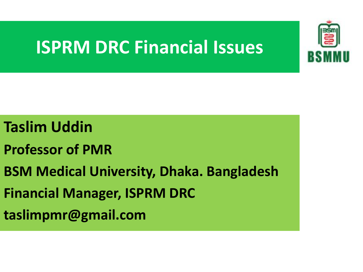# **ISPRM DRC Financial Issues**



- **Taslim Uddin**
- **Professor of PMR**
- **BSM Medical University, Dhaka. Bangladesh**
- **Financial Manager, ISPRM DRC**
- **taslimpmr@gmail.com**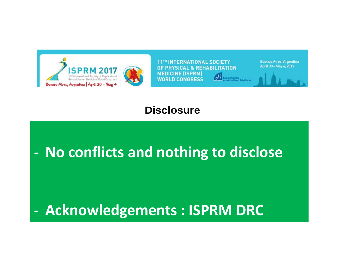

11TH INTERNATIONAL SOCIETY OF PHYSICAL & REHABILITATION **MEDICINE (ISPRM) All** .<br>Sociedad Argentina<br>de Medicine Física y Rehebilitaci **WORLD CONGRESS** 

**Buenos Aires, Argentina** April 30 - May 4, 2017

### **Disclosure**

#### *Company Name Honoraria/ Consulting/ Funded Royalties/ Stock Ownership/ Equity Employee Other Options* - **No conflicts and nothing to disclose**

### - **Acknowledgements : ISPRM DRC**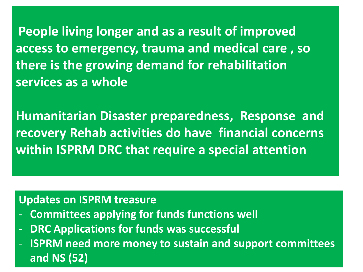**People living longer and as a result of improved access to emergency, trauma and medical care , so there is the growing demand for rehabilitation services as a whole**

**Humanitarian Disaster preparedness, Response and recovery Rehab activities do have financial concerns within ISPRM DRC that require a special attention** 

### **Updates on ISPRM treasure**

- **Committees applying for funds functions well**
- **DRC Applications for funds was successful**
- **ISPRM need more money to sustain and support committees and NS (52)**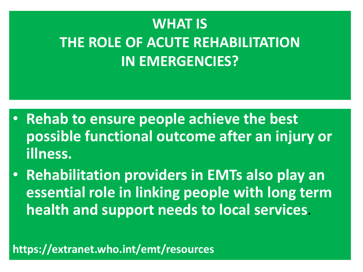### **WHAT IS THE ROLE OF ACUTE REHABILITATION IN EMERGENCIES?**

- **Rehab to ensure people achieve the best possible functional outcome after an injury or illness.**
- **Rehabilitation providers in EMTs also play an essential role in linking people with long term health and support needs to local services**.

**https://extranet.who.int/emt/resources**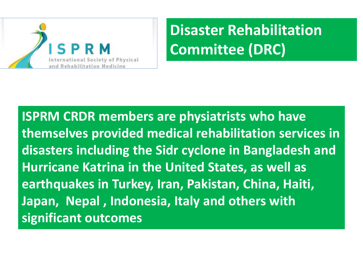

# **Disaster Rehabilitation Committee (DRC)**

**ISPRM CRDR members are physiatrists who have themselves provided medical rehabilitation services in disasters including the Sidr cyclone in Bangladesh and Hurricane Katrina in the United States, as well as earthquakes in Turkey, Iran, Pakistan, China, Haiti, Japan, Nepal , Indonesia, Italy and others with significant outcomes**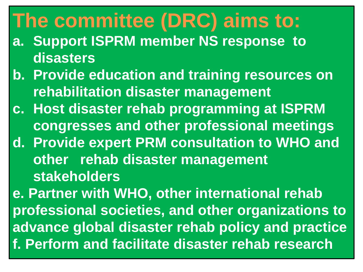# **The committee (DRC) aims to:**

- **a. Support ISPRM member NS response to disasters**
- **b. Provide education and training resources on rehabilitation disaster management**
- **c. Host disaster rehab programming at ISPRM congresses and other professional meetings**
- **d. Provide expert PRM consultation to WHO and other rehab disaster management stakeholders**

**e. Partner with WHO, other international rehab professional societies, and other organizations to advance global disaster rehab policy and practice f. Perform and facilitate disaster rehab research**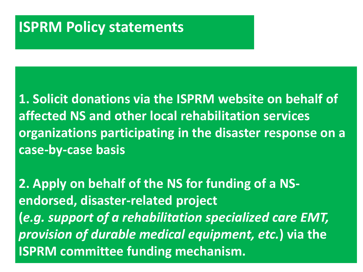### **ISPRM Policy statements**

**1. Solicit donations via the ISPRM website on behalf of affected NS and other local rehabilitation services organizations participating in the disaster response on a case-by-case basis** 

**2. Apply on behalf of the NS for funding of a NSendorsed, disaster-related project (***e.g. support of a rehabilitation specialized care EMT, provision of durable medical equipment, etc.***) via the ISPRM committee funding mechanism.**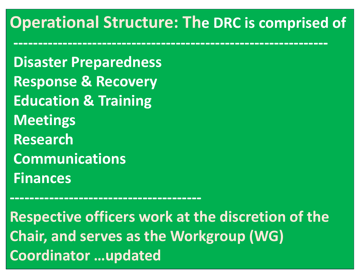### **Operational Structure: The DRC is comprised of**

**----------------------------------------------------------------**

**Disaster Preparedness Response & Recovery Education & Training Meetings Research Communications Finances** 

**---------------------------------------**

**Respective officers work at the discretion of the Chair, and serves as the Workgroup (WG) Coordinator …updated**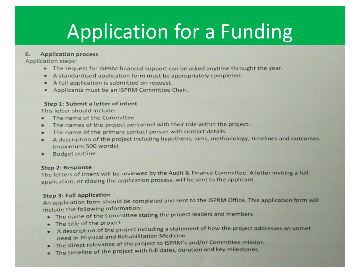# **Application for a Funding**

#### 6. **Application process**

Application steps:

- The request for ISPRM financial support can be asked anytime throught the year.
- A standardised application form must be appropriately completed.
- A full application is submitted on request.
- Applicants must be an ISPRM Committee Chair.

#### Step 1: Submit a letter of intent

This letter should include:

- The name of the Committee  $\bullet$
- The names of the project personnel with their role within the project.  $\bullet$
- The name of the primary contact person with contact details.
- A description of the project including hypothesis, aims, methodology, timelines and outcomes  $\bullet$ (maximum 500 words)
- **Budget outline**

#### Step 2: Response

The letters of intent will be reviewed by the Audit & Finance Committee. A letter inviting a full application, or closing the application process, will be sent to the applicant.

#### Step 3: Full application

An application form should be completed and sent to the ISPRM Office. This application form will include the following information:

- The name of the Committee stating the project leaders and members
- The title of the project.
- A description of the project including a statement of how the project addresses an unmet need in Physical and Rehabilitation Medicine.
- The direct relevance of the project to ISPRM's and/or Committee mission
- The timeline of the project with full dates, duration and key milestones.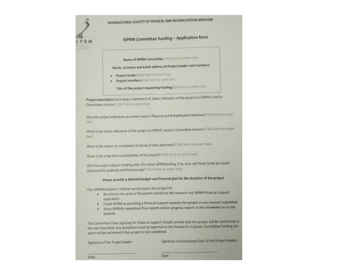#### INTERNATIONAL SOCIETY OF PHYSICAL AND REHABILITATION MEDICINE

**ISPRM Committee funding - Application form** 

Name of ISPRM Committee: Click here to enter text

Name, surname and email address of Project leader and members:

· Project leader:Click here to enter text.

SPRM

· Project members: Click here to enter text.

Title of the project requesting fundingsClick here to enter text.

Project description (including a statement of, direct relevance of the project to ISPRM's and/or Committee mission): Click here to enter text.

How the project addresses an unmet need in Physical and Rehabilitation Medicine? Click here to noter text.

What is the direct relevance of the project to ISPRM's and/or Committee mission? Click here to enter text.

What is the return on investment in terms of time and funds?Click here to enter text.

What is the long-term sustainability of the project? Click here to enter text.

Will the project require funding after the initial ISPRMfunding, if so, how will these funds be raised (Potential for publicity and fundraising)? Click here to enter text.

Please provide a detailed budget and financial plan for the duration of the project

The ISPRMPresident's Cabinet would expect the project to:

- . Be entirely the work of the parties named on the research and ISPRM financial support application.
- . Credit ISPRM as providing a financial support towards the project in any research submitted
- . Allow ISPRMto reproduce final reports and/or progress reports in the newsletter or on the website

er)

The Committee Chair applying for financial support should commit that the project will be carried out in the way described. Any deviations must be reported to the President's Cabinet. Committee funding not spent will be reclaimed if the project is not completed.

| Signature of the Project leader | Signature of Committee Chair (if not Project lead |
|---------------------------------|---------------------------------------------------|
|                                 |                                                   |
| Date:                           | Date:                                             |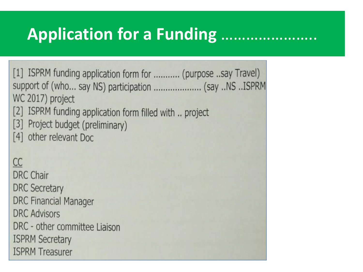## **Application for a Funding .......**

[1] ISPRM funding application form for ........... (purpose ..say Travel) support of (who... say NS) participation ..................... (say ..NS ..ISPRM WC 2017) project

- [2] ISPRM funding application form filled with .. project
- [3] Project budget (preliminary)
- [4] other relevant Doc

### $CC$

**DRC Chair DRC** Secretary **DRC Financial Manager DRC Advisors** DRC - other committee Liaison **ISPRM Secretary ISPRM Treasurer**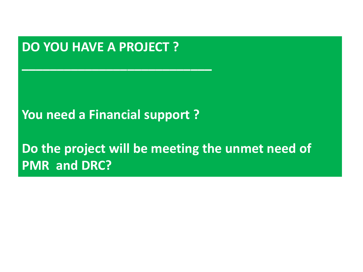**DO YOU HAVE A PROJECT ?**

**You need a Financial support ?**

**\_\_\_\_\_\_\_\_\_\_\_\_\_\_\_\_\_\_\_\_\_\_\_\_\_\_\_**

**Do the project will be meeting the unmet need of PMR and DRC?**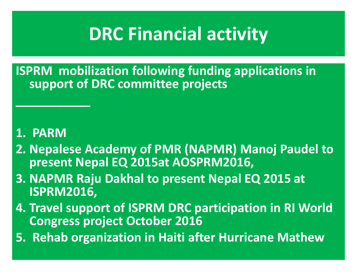# **DRC Financial activity**

**ISPRM mobilization following funding applications in support of DRC committee projects** 

### **1. PARM**

**\_\_\_\_\_\_\_\_\_\_\_**

- **2. Nepalese Academy of PMR (NAPMR) Manoj Paudel to present Nepal EQ 2015at AOSPRM2016,**
- **3. NAPMR Raju Dakhal to present Nepal EQ 2015 at ISPRM2016,**
- **4. Travel support of ISPRM DRC participation in RI World Congress project October 2016**
- **5. Rehab organization in Haiti after Hurricane Mathew**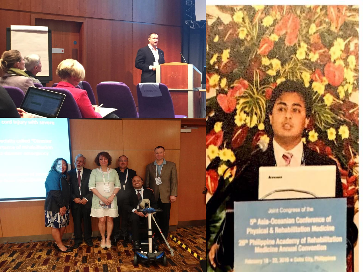**TELAM** 

 $\overline{K}$ 

#### **Joint Congress of the**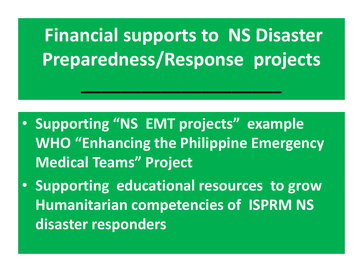# **Financial supports to NS Disaster Preparedness/Response projects**

**\_\_\_\_\_\_\_\_\_\_\_\_\_\_\_\_\_\_\_\_**

• **Supporting "NS EMT projects" example WHO "Enhancing the Philippine Emergency Medical Teams" Project**

• **Supporting educational resources to grow Humanitarian competencies of ISPRM NS disaster responders**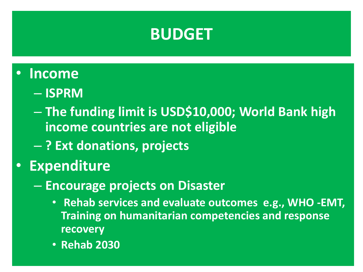### **BUDGET**

- **Income** 
	- **ISPRM**
	- **The funding limit is USD\$10,000; World Bank high income countries are not eligible**
	- **? Ext donations, projects**
- **Expenditure**
	- **Encourage projects on Disaster** 
		- **Rehab services and evaluate outcomes e.g., WHO -EMT, Training on humanitarian competencies and response recovery**
		- **Rehab 2030**